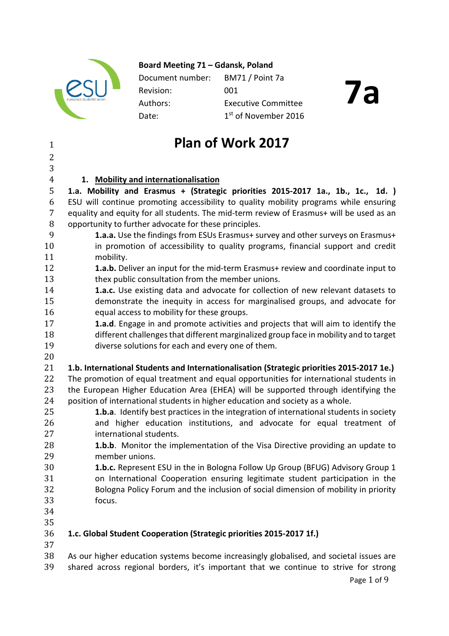

**Board Meeting 71 – Gdansk, Poland** 

Document number: BM71 / Point 7a Revision: 001 Authors: Executive Committee Date: 1st of November 2016

# **7a**

### <sup>1</sup> **Plan of Work 2017**

### $\overline{2}$

3<br>4

 **1. Mobility and internationalisation 1.a. Mobility and Erasmus + (Strategic priorities 2015-2017 1a., 1b., 1c., 1d. )** ESU will continue promoting accessibility to quality mobility programs while ensuring equality and equity for all students. The mid-term review of Erasmus+ will be used as an 8 opportunity to further advocate for these principles.<br>9 **1.a.a.** Use the findings from ESUs Erasmus+ su

- 9 **1.a.a.** Use the findings from ESUs Erasmus+ survey and other surveys on Erasmus+ 10 in promotion of accessibility to quality programs, financial support and credit 11 11 mobility.<br>12 **1.a.b.** De
- **12 1.a.b.** Deliver an input for the mid-term Erasmus+ review and coordinate input to<br>13 **12 13** thex public consultation from the member unions. 13 thex public consultation from the member unions.<br>14 **1.a.c.** Use existing data and advocate for collectic
- 14 **1.a.c.** Use existing data and advocate for collection of new relevant datasets to<br>15 demonstrate the inequity in access for marginalised groups, and advocate for 15 demonstrate the inequity in access for marginalised groups, and advocate for 16 causal access to mobility for these groups. 16 equal access to mobility for these groups.<br>17 **1.a.d**. Engage in and promote activities an
- 17 **1.a.d**. Engage in and promote activities and projects that will aim to identify the 18 different challenges that different marginalized group face in mobility and to target<br>19 diverse solutions for each and every one of them. diverse solutions for each and every one of them.
- $\frac{20}{21}$

### 21 **1.b. International Students and Internationalisation (Strategic priorities 2015-2017 1e.)**

22 The promotion of equal treatment and equal opportunities for international students in<br>23 the European Higher Education Area (EHEA) will be supported through identifving the 23 the European Higher Education Area (EHEA) will be supported through identifying the 24 sposition of international students in higher education and society as a whole. 24 position of international students in higher education and society as a whole.<br>25 **1.b.a**. Identify best practices in the integration of international studen

- 25 **1.b.a**. Identify best practices in the integration of international students in society<br>26 and higher education institutions, and advocate for equal treatment of 26 and higher education institutions, and advocate for equal treatment of 27 27 international students.<br>28 **1.b.b**. Monitor the imp
- 28 **1.b.b**. Monitor the implementation of the Visa Directive providing an update to member unions. 29 member unions.<br>30 **1.b.c.** Represent
- 30 **1.b.c.** Represent ESU in the in Bologna Follow Up Group (BFUG) Advisory Group 1 31 on International Cooperation ensuring legitimate student participation in the<br>32 Bologna Policy Forum and the inclusion of social dimension of mobility in priority 32 Bologna Policy Forum and the inclusion of social dimension of mobility in priority focus.
- 34

#### 35<br>36 36 **1.c. Global Student Cooperation (Strategic priorities 2015-2017 1f.)**

 $\frac{37}{38}$ 38 As our higher education systems become increasingly globalised, and societal issues are<br>39 Shared across regional borders, it's important that we continue to strive for strong shared across regional borders, it's important that we continue to strive for strong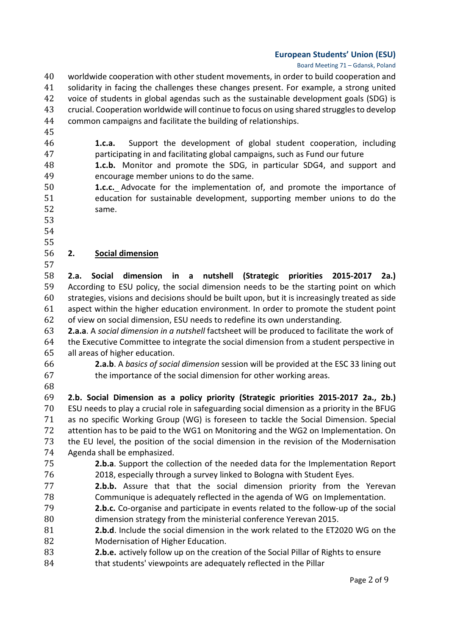#### Board Meeting 71 – Gdansk, Poland

- 40 worldwide cooperation with other student movements, in order to build cooperation and<br>41 Solidarity in facing the challenges these changes present. For example, a strong united 41 solidarity in facing the challenges these changes present. For example, a strong united<br>42 voice of students in global agendas such as the sustainable development goals (SDG) is 42 voice of students in global agendas such as the sustainable development goals (SDG) is<br>43 crucial. Cooperation worldwide will continue to focus on using shared struggles to develop 43 crucial. Cooperation worldwide will continue to focus on using shared struggles to develop<br>44 common campaigns and facilitate the building of relationships. common campaigns and facilitate the building of relationships.
- 45<br>46
- 46 **1.c.a.** Support the development of global student cooperation, including 47 earticipating in and facilitating global campaigns, such as Fund our future<br>48 **1.c.b.** Monitor and promote the SDG, in particular SDG4, and supp
- 48 **1.c.b.** Monitor and promote the SDG, in particular SDG4, and support and 49 49 encourage member unions to do the same.<br>50 **1.c.c.** Advocate for the implementation
- 50 **1.c.c.** Advocate for the implementation of, and promote the importance of 51 51 education for sustainable development, supporting member unions to do the 52 same.
- 53
- 54
- 55<br>56

### 56 **2. Social dimension**

57<br>58 58 **2.a. Social dimension in a nutshell (Strategic priorities 2015-2017 2a.)** 59 According to ESU policy, the social dimension needs to be the starting point on which<br>60 strategies, visions and decisions should be built upon, but it is increasingly treated as side 60 strategies, visions and decisions should be built upon, but it is increasingly treated as side 61 aspect within the higher education environment. In order to promote the student point 62 of view on social dimension. ESU needs to redefine its own understanding.

62 of view on social dimension, ESU needs to redefine its own understanding.<br>63 **2.a.a**. A *social dimension in a nutshell* factsheet will be produced to facilitat 63 **2.a.a**. A *social dimension in a nutshell* factsheet will be produced to facilitate the work of 64 the Executive Committee to integrate the social dimension from a student perspective in<br>65 all areas of higher education. 65 all areas of higher education.<br>66 **2.a.b**. A *basics of socid* 

66 **2.a.b**. A *basics of social dimension* session will be provided at the ESC 33 lining out the importance of the social dimension for other working areas.

68

69 **2.b. Social Dimension as a policy priority (Strategic priorities 2015-2017 2a., 2b.)** 70 ESU needs to play a crucial role in safeguarding social dimension as a priority in the BFUG<br>71 as no specific Working Group (WG) is foreseen to tackle the Social Dimension. Special 71 as no specific Working Group (WG) is foreseen to tackle the Social Dimension. Special<br>72 attention has to be paid to the WG1 on Monitoring and the WG2 on Implementation. On 72 attention has to be paid to the WG1 on Monitoring and the WG2 on Implementation. On<br>73 the EU level, the position of the social dimension in the revision of the Modernisation 73 the EU level, the position of the social dimension in the revision of the Modernisation<br>74 Agenda shall be emphasized. 74 Agenda shall be emphasized.<br>75 **2.b.a**. Support the col

- 75 **2.b.a**. Support the collection of the needed data for the Implementation Report 76 2018, especially through a survey linked to Bologna with Student Eyes.<br>77 **2.b.b.** Assure that that the social dimension priority from th
- **2.b.b.** Assure that that the social dimension priority from the Yerevan<br>78 Communique is adequately reflected in the agenda of WG on Implementation. 78 Communique is adequately reflected in the agenda of WG on Implementation.<br>79 **2.b.c.** Co-organise and participate in events related to the follow-up of the soc
- 79 **2.b.c.** Co-organise and participate in events related to the follow-up of the social 80 dimension strategy from the ministerial conference Yerevan 2015.<br>81 **2.b.d**. Include the social dimension in the work related to the ET2
- 81 **2.b.d**. Include the social dimension in the work related to the ET2020 WG on the 82
- 82 Modernisation of Higher Education.<br>83 **2.b.e.** actively follow up on the creat 2.b.e. actively follow up on the creation of the Social Pillar of Rights to ensure
- 84 **that students' viewpoints are adequately reflected in the Pillar**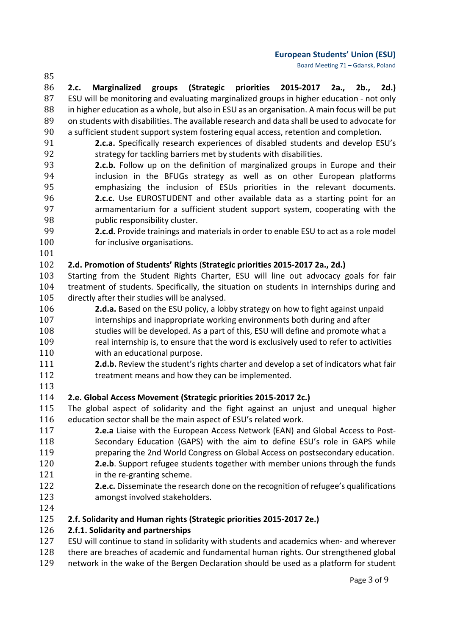Board Meeting 71 – Gdansk, Poland

85 86 **2.c. Marginalized groups (Strategic priorities 2015-2017 2a., 2b., 2d.)** 87 ESU will be monitoring and evaluating marginalized groups in higher education - not only<br>88 in higher education as a whole, but also in ESU as an organisation. A main focus will be put 88 in higher education as a whole, but also in ESU as an organisation. A main focus will be put 89 on students with disabilities. The available research and data shall be used to advocate for 89 on students with disabilities. The available research and data shall be used to advocate for <br>90 a sufficient student support system fostering equal access, retention and completion. 90 a sufficient student support system fostering equal access, retention and completion.<br>91 **2.c.a.** Specifically research experiences of disabled students and develop ES

- 91 **2.c.a.** Specifically research experiences of disabled students and develop ESU's strategy for tackling barriers met by students with disabilities. 92 strategy for tackling barriers met by students with disabilities.<br>93 **2.c.b.** Follow up on the definition of marginalized groups in
- 93 **2.c.b.** Follow up on the definition of marginalized groups in Europe and their<br>94 **19.1** inclusion in the BFUGs strategy as well as on other European platforms 94 inclusion in the BFUGs strategy as well as on other European platforms<br>95 emphasizing the inclusion of ESUs priorities in the relevant documents. 95 emphasizing the inclusion of ESUs priorities in the relevant documents.<br>96 **2.c.c.** Use EUROSTUDENT and other available data as a starting point for an 96 **2.c.c.** Use EUROSTUDENT and other available data as a starting point for an<br>97 **2.** armamentarium for a sufficient student support system, cooperating with the 97 **armamentarium for a sufficient student support system, cooperating with the 98** and public responsibility cluster.
- 98 public responsibility cluster.<br>99 **2.c.d.** Provide trainings and r 99 **2.c.d.** Provide trainings and materials in order to enable ESU to act as a role model 100 for inclusive organisations. for inclusive organisations.
- 101<br>102

### 102 **2.d. Promotion of Students' Rights** (**Strategic priorities 2015-2017 2a., 2d.)**

- 103 Starting from the Student Rights Charter, ESU will line out advocacy goals for fair<br>104 treatment of students. Specifically, the situation on students in internships during and 104 treatment of students. Specifically, the situation on students in internships during and 105 directly after their studies will be analysed. 105 directly after their studies will be analysed.<br>106 **2.d.a.** Based on the ESU policy, a lob
- **2.d.a.** Based on the ESU policy, a lobby strategy on how to fight against unpaid<br>107 hternships and inappropriate working environments both during and after
- 107 internships and inappropriate working environments both during and after<br>108 studies will be developed. As a part of this, ESU will define and promote wh 108 studies will be developed. As a part of this, ESU will define and promote what a<br>109 set all internship is, to ensure that the word is exclusively used to refer to activitie 109 real internship is, to ensure that the word is exclusively used to refer to activities<br>110 with an educational purpose.
- 110 with an educational purpose.<br>111 **2.d.b.** Review the student's rig
- 111 **2.d.b.** Review the student's rights charter and develop a set of indicators what fair<br>112 treatment means and how thev can be implemented. treatment means and how they can be implemented.
- 113<br>114

### 114 **2.e. Global Access Movement (Strategic priorities 2015-2017 2c.)**

- 115 The global aspect of solidarity and the fight against an unjust and unequal higher 116 education sector shall be the main aspect of ESU's related work. 116 education sector shall be the main aspect of ESU's related work.<br>117 **2.e.a** Liaise with the European Access Network (EAN) an
- 117 **2.e.a** Liaise with the European Access Network (EAN) and Global Access to Post-<br>118 Secondary Education (GAPS) with the aim to define ESU's role in GAPS while 118 Secondary Education (GAPS) with the aim to define ESU's role in GAPS while<br>119 serversing the 2nd World Congress on Global Access on postsecondary education.
- 119 preparing the 2nd World Congress on Global Access on postsecondary education.<br>120 **2.e.b**. Support refugee students together with member unions through the funds **2.e.b**. Support refugee students together with member unions through the funds 121 in the re-granting scheme.
- 121 in the re-granting scheme.<br>122 **2.e.c.** Disseminate the rese 122 **2.e.c.** Disseminate the research done on the recognition of refugee's qualifications amongst involved stakeholders.
- 124<br>125

### 125 **2.f. Solidarity and Human rights (Strategic priorities 2015-2017 2e.)**

## 126 **2.f.1. Solidarity and partnerships**

- 127 ESU will continue to stand in solidarity with students and academics when- and wherever<br>128 there are breaches of academic and fundamental human rights. Our strengthened global
- 128 there are breaches of academic and fundamental human rights. Our strengthened global<br>129 network in the wake of the Bergen Declaration should be used as a platform for student
- network in the wake of the Bergen Declaration should be used as a platform for student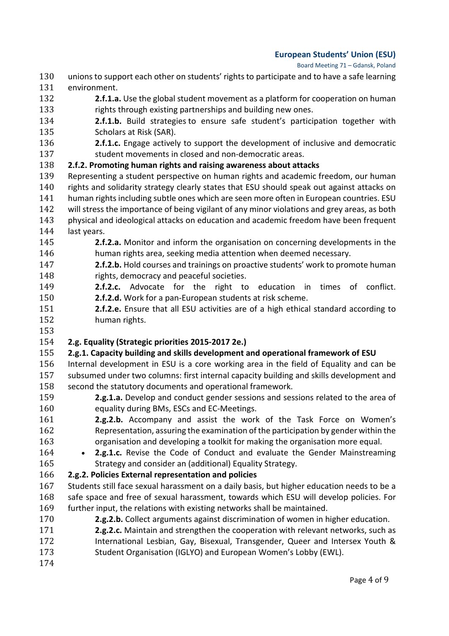#### Board Meeting 71 – Gdansk, Poland

- 130 unions to support each other on students' rights to participate and to have a safe learning<br>131 environment. 131 environment.<br>132 **2.f.1.a**
- **2.f.1.a.** Use the global student movement as a platform for cooperation on human 133 rights through existing partnerships and building new ones.
- 133 rights through existing partnerships and building new ones.<br>134 **2.f.1.b.** Build strategies to ensure safe student's partici 134 **2.f.1.b.** Build strategies to ensure safe student's participation together with 135
- 135 Scholars at Risk (SAR).<br>136 **2.f.1.c.** Engage activel **2.f.1.c.** Engage actively to support the development of inclusive and democratic 137 student movements in closed and non-democratic areas. 137 student movements in closed and non-democratic areas.<br>138 **2.f.2. Promoting human rights and raising awareness about atta**

**2.f.2. Promoting human rights and raising awareness about attacks**<br>139 Representing a student perspective on human rights and academic f 139 Representing a student perspective on human rights and academic freedom, our human<br>140 rights and solidarity strategy clearly states that ESU should speak out against attacks on 140 rights and solidarity strategy clearly states that ESU should speak out against attacks on<br>141 human rights including subtle ones which are seen more often in European countries. ESU 141 human rights including subtle ones which are seen more often in European countries. ESU<br>142 will stress the importance of being vigilant of any minor violations and grey areas, as both 142 will stress the importance of being vigilant of any minor violations and grey areas, as both<br>143 biological and ideological attacks on education and academic freedom have been frequent 143 physical and ideological attacks on education and academic freedom have been frequent<br>144 last vears.

- 144 last years.<br>145 **2.f 2.f.2.a.** Monitor and inform the organisation on concerning developments in the 146 human rights area. seeking media attention when deemed necessary. 146 human rights area, seeking media attention when deemed necessary.<br>147 **2.f.2.b.** Hold courses and trainings on proactive students' work to pron
- 147 **2.f.2.b.** Hold courses and trainings on proactive students' work to promote human<br>148 **148** rights. democracy and peaceful societies. 148 rights, democracy and peaceful societies.<br>149 **2.f.2.c.** Advocate for the right to
- **2.f.2.c.** Advocate for the right to education in times of conflict.<br>150 **2.f.2.d.** Work for a pan-European students at risk scheme.
- 150 **2.f.2.d.** Work for a pan-European students at risk scheme.<br>151 **2.f.2.e.** Ensure that all ESU activities are of a high ethical 151 **2.f.2.e.** Ensure that all ESU activities are of a high ethical standard according to 152 human rights.
- 153<br>154

## 154 **2.g. Equality (Strategic priorities 2015-2017 2e.)**

### **2.g.1. Capacity building and skills development and operational framework of ESU**<br>156 Internal development in ESU is a core working area in the field of Equality and ca

156 Internal development in ESU is a core working area in the field of Equality and can be<br>157 subsumed under two columns: first internal capacity building and skills development and 157 subsumed under two columns: first internal capacity building and skills development and<br>158 second the statutory documents and operational framework.

- 158 second the statutory documents and operational framework.<br>159 **2.g.1.a.** Develop and conduct gender sessions and ses **2.g.1.a.** Develop and conduct gender sessions and sessions related to the area of 160 causality during BMs. ESCs and EC-Meetings. 160 equality during BMs, ESCs and EC-Meetings.<br>161 **2.g.2.b.** Accompany and assist the work
- **2.g.2.b.** Accompany and assist the work of the Task Force on Women's 162 and Representation, assuring the examination of the participation by gender within the 162 Representation, assuring the examination of the participation by gender within the<br>163 organisation and developing a toolkit for making the organisation more equal. 163 organisation and developing a toolkit for making the organisation more equal.<br>164 **• 2.g.1.c.** Revise the Code of Conduct and evaluate the Gender Mainstream
- 164 **2.g.1.c.** Revise the Code of Conduct and evaluate the Gender Mainstreaming 165 strategy and consider an (additional) Equality Strategy. 165 Strategy and consider an (additional) Equality Strategy.<br>166 **2.g.2. Policies External representation and policies**

### 166 **2.g.2. Policies External representation and policies**

- 167 Students still face sexual harassment on a daily basis, but higher education needs to be a<br>168 safe space and free of sexual harassment, towards which ESU will develop policies. For 168 safe space and free of sexual harassment, towards which ESU will develop policies. For 169 further input, the relations with existing networks shall be maintained. 169 further input, the relations with existing networks shall be maintained.<br>170 **2.g.2.b.** Collect arguments against discrimination of women in h
- 170 **2.g.2.b.** Collect arguments against discrimination of women in higher education.<br>171 **2.g.2.c.** Maintain and strengthen the cooperation with relevant networks, such a
- **2.g.2.c.** Maintain and strengthen the cooperation with relevant networks, such as<br>172 **172** International Lesbian. Gav. Bisexual. Transgender. Queer and Intersex Youth & 172 International Lesbian, Gay, Bisexual, Transgender, Queer and Intersex Youth &<br>173 Student Organisation (IGLYO) and European Women's Lobby (EWL). Student Organisation (IGLYO) and European Women's Lobby (EWL).
- 174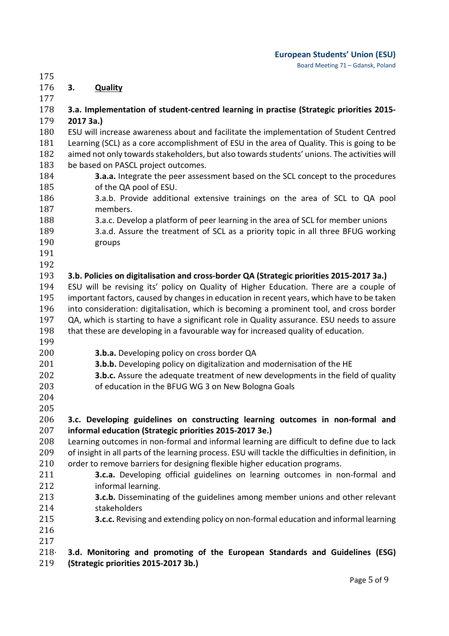175<br>176 176 **3. Quality**

- $\frac{177}{178}$ 178 **3.a. Implementation of student-centred learning in practise (Strategic priorities 2015-** 179 **2017 3a.)**  180 ESU will increase awareness about and facilitate the implementation of Student Centred<br>181 Learning (SCL) as a core accomplishment of ESU in the area of Quality. This is going to be 181 Learning (SCL) as a core accomplishment of ESU in the area of Quality. This is going to be<br>182 aimed not only towards stakeholders, but also towards students' unions. The activities will 182 aimed not only towards stakeholders, but also towards students' unions. The activities will<br>183 be based on PASCL project outcomes. 183 be based on PASCL project outcomes.<br>184 **3.a.a.** Integrate the peer asses.
- **3.a.a.** Integrate the peer assessment based on the SCL concept to the procedures 185 of the QA pool of ESU. 185 of the QA pool of ESU.<br>186 3.a.b. Provide additio
- 186 3.a.b. Provide additional extensive trainings on the area of SCL to QA pool 187 187 members.<br>188 3.a.c. Deve
- 188 3.a.c. Develop a platform of peer learning in the area of SCL for member unions<br>189 3.a.d. Assure the treatment of SCL as a priority topic in all three BFUG workir
- 189 3.a.d. Assure the treatment of SCL as a priority topic in all three BFUG working<br>190 sproups groups
- 191
- 192<br>193

### 193 **3.b. Policies on digitalisation and cross-border QA (Strategic priorities 2015-2017 3a.)**

194 ESU will be revising its' policy on Quality of Higher Education. There are a couple of 195 important factors, caused by changes in education in recent years, which have to be taken 195 important factors, caused by changes in education in recent years, which have to be taken<br>196 into consideration: digitalisation, which is becoming a prominent tool, and cross border 196 into consideration: digitalisation, which is becoming a prominent tool, and cross border<br>197 OA, which is starting to have a significant role in Quality assurance. ESU needs to assure 197 QA, which is starting to have a significant role in Quality assurance. ESU needs to assure 198 that these are developing in a favourable way for increased quality of education. that these are developing in a favourable way for increased quality of education.

- 199<br>200
	-
- 200 **3.b.a.** Developing policy on cross border QA<br>201 **3.b.b.** Developing policy on digitalization and 201 **3.b.b.** Developing policy on digitalization and modernisation of the HE<br>202 **3.b.c.** Assure the adequate treatment of new developments in the fiel
- 202 **3.b.c.** Assure the adequate treatment of new developments in the field of quality<br>203 of education in the BFUG WG 3 on New Bologna Goals of education in the BFUG WG 3 on New Bologna Goals
- 204
- 205

## 206 **3.c. Developing guidelines on constructing learning outcomes in non-formal and**

207 **informal education (Strategic priorities 2015-2017 3e.)**  208 Learning outcomes in non-formal and informal learning are difficult to define due to lack<br>209 of insight in all parts of the learning process. ESU will tackle the difficulties in definition, in 209 of insight in all parts of the learning process. ESU will tackle the difficulties in definition, in 210 order to remove barriers for designing flexible higher education programs. 210 order to remove barriers for designing flexible higher education programs.<br>211 **3.c.a.** Developing official guidelines on learning outcomes in no

- 211 **3.c.a.** Developing official guidelines on learning outcomes in non-formal and 212
- 212 informal learning.<br>213 **3.c.b.** Disseminati 213 **3.c.b.** Disseminating of the guidelines among member unions and other relevant 214 stakeholders<br>215 **3.c.c.** Revising
- **3.c.c.** Revising and extending policy on non-formal education and informal learning 216
- 

### $217$ <br> $218$ 218· **3.d. Monitoring and promoting of the European Standards and Guidelines (ESG)**  219 **(Strategic priorities 2015-2017 3b.)**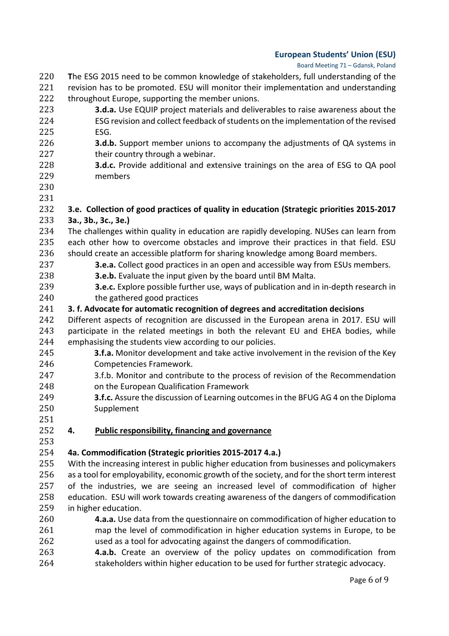#### Board Meeting 71 – Gdansk, Poland

- 220 **T**he ESG 2015 need to be common knowledge of stakeholders, full understanding of the
- 221 revision has to be promoted. ESU will monitor their implementation and understanding<br>222 throughout Europe, supporting the member unions.
- 222 throughout Europe, supporting the member unions.<br>223 **3.d.a.** Use EQUIP project materials and delive
- **3.d.a.** Use EQUIP project materials and deliverables to raise awareness about the 224 ESG revision and collect feedback of students on the implementation of the revised 224 ESG revision and collect feedback of students on the implementation of the revised<br>225 ESG.
- 225 ESG.<br>226 **3.d.b** 226 **3.d.b.** Support member unions to accompany the adjustments of QA systems in 227 227 their country through a webinar.<br>228 **3.d.c.** Provide additional and ext
- 228 **3.d.c.** Provide additional and extensive trainings on the area of ESG to QA pool 229 members
- 230
- 231<br>232 232 **3.e. Collection of good practices of quality in education (Strategic priorities 2015-2017**
- 233 **3a., 3b., 3c., 3e.)**  234 The challenges within quality in education are rapidly developing. NUSes can learn from<br>235 each other how to overcome obstacles and improve their practices in that field. ESU 235 each other how to overcome obstacles and improve their practices in that field. ESU<br>236 should create an accessible platform for sharing knowledge among Board members.
- 236 should create an accessible platform for sharing knowledge among Board members.<br>237 **3.e.a.** Collect good practices in an open and accessible way from ESUs members 237 **3.e.a.** Collect good practices in an open and accessible way from ESUs members.<br>238 **3.e.b.** Evaluate the input given by the board until BM Malta.
- 238 **3.e.b.** Evaluate the input given by the board until BM Malta.<br>239 **3.e.c.** Explore possible further use, ways of publication and in
- 239 **3.e.c.** Explore possible further use, ways of publication and in in-depth research in 240 the gathered good practices 240 the gathered good practices<br>241 **3. f. Advocate for automatic recogn**
- 241 **3. f. Advocate for automatic recognition of degrees and accreditation decisions**
- 242 Different aspects of recognition are discussed in the European arena in 2017. ESU will<br>243 participate in the related meetings in both the relevant EU and EHEA bodies, while 243 participate in the related meetings in both the relevant EU and EHEA bodies, while 244 emphasising the students view according to our policies. 244 emphasising the students view according to our policies.<br>245 **3.f.a.** Monitor development and take active involv
- 245 **3.f.a.** Monitor development and take active involvement in the revision of the Key<br>246 **Competencies Framework**. 246 Competencies Framework.<br>247 3.f.b. Monitor and contribu
- 247 3.f.b. Monitor and contribute to the process of revision of the Recommendation<br>248 on the European Qualification Framework 248 on the European Qualification Framework<br>249 **3.f.c.** Assure the discussion of Learning out
- 249 **3.f.c.** Assure the discussion of Learning outcomes in the BFUG AG 4 on the Diploma<br>250 Supplement Supplement
- 251<br>252

### 252 **4. Public responsibility, financing and governance**

## 253<br>254

- 254 **4a. Commodification (Strategic priorities 2015-2017 4.a.)** 255 With the increasing interest in public higher education from businesses and policymakers<br>256 as a tool for employability, economic growth of the society, and for the short term interest 256 as a tool for employability, economic growth of the society, and for the short term interest<br>257 of the industries, we are seeing an increased level of commodification of higher 257 of the industries, we are seeing an increased level of commodification of higher<br>258 education. ESU will work towards creating awareness of the dangers of commodification 258 education. ESU will work towards creating awareness of the dangers of commodification<br>259 in higher education. 259 in higher education.<br>260 **4.a.a.** Use da
- 260 **4.a.a.** Use data from the questionnaire on commodification of higher education to 261 map the level of commodification in higher education systems in Europe, to be 262 used as a tool for advocating against the dangers of commodification.
- 262 used as a tool for advocating against the dangers of commodification.<br>263 **4.a.b.** Create an overview of the policy updates on commodific 263 **4.a.b.** Create an overview of the policy updates on commodification from<br>264 stakeholders within higher education to be used for further strategic advocacy. stakeholders within higher education to be used for further strategic advocacy.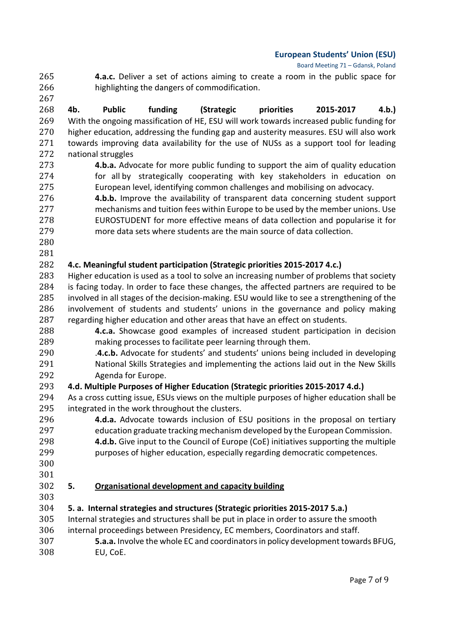Board Meeting 71 – Gdansk, Poland

265 **4.a.c.** Deliver a set of actions aiming to create a room in the public space for 266 highlighting the dangers of commodification. highlighting the dangers of commodification.

267<br>268 268 **4b. Public funding (Strategic priorities 2015-2017 4.b.)** 269 With the ongoing massification of HE, ESU will work towards increased public funding for 270 higher education, addressing the funding gap and austerity measures. ESU will also work<br>271 towards improving data availability for the use of NUSs as a support tool for leading 271 towards improving data availability for the use of NUSs as a support tool for leading<br>272 national struggles 272 national struggles<br>273 **4.b.a.** Advo

- 273 **4.b.a.** Advocate for more public funding to support the aim of quality education<br>274 for all by strategically cooperating with key stakeholders in education on 274 for all by strategically cooperating with key stakeholders in education on<br>275 **European level, identifying common challenges** and mobilising on advocacy. 275 European level, identifying common challenges and mobilising on advocacy.<br>276 **4.b.b.** Improve the availability of transparent data concerning student su
- 276 **4.b.b.** Improve the availability of transparent data concerning student support<br>277 mechanisms and tuition fees within Europe to be used by the member unions. Use 277 mechanisms and tuition fees within Europe to be used by the member unions. Use<br>278 EUROSTUDENT for more effective means of data collection and popularise it for 278 EUROSTUDENT for more effective means of data collection and popularise it for<br>279 more data sets where students are the main source of data collection. more data sets where students are the main source of data collection.
- 280

### 281 282 **4.c. Meaningful student participation (Strategic priorities 2015-2017 4.c.)**

283 Higher education is used as a tool to solve an increasing number of problems that society<br>284 is facing today. In order to face these changes, the affected partners are required to be 284 is facing today. In order to face these changes, the affected partners are required to be 285 involved in all stages of the decision-making. ESU would like to see a strengthening of the 285 involved in all stages of the decision-making. ESU would like to see a strengthening of the 286 involvement of students and students' unions in the governance and policy making 286 involvement of students and students' unions in the governance and policy making<br>287 regarding higher education and other areas that have an effect on students.

- 287 regarding higher education and other areas that have an effect on students.<br>288 **4.c.a.** Showcase good examples of increased student participation 288 **4.c.a.** Showcase good examples of increased student participation in decision 289 making processes to facilitate peer learning through them. 289 making processes to facilitate peer learning through them.<br>290 **4.c.b.** Advocate for students' and students' unions being.
- 290 .**4.c.b.** Advocate for students' and students' unions being included in developing 291 National Skills Strategies and implementing the actions laid out in the New Skills<br>292 Agenda for Europe. 292 Agenda for Europe.<br>293 **4.d. Multiple Purposes of F**

### 293 **4.d. Multiple Purposes of Higher Education (Strategic priorities 2015-2017 4.d.)**

- 294 As a cross cutting issue, ESUs views on the multiple purposes of higher education shall be 295 integrated in the work throughout the clusters. 295 integrated in the work throughout the clusters.<br>296 **4.d.a.** Advocate towards inclusion of E
- 296 **4.d.a.** Advocate towards inclusion of ESU positions in the proposal on tertiary<br>297 education graduate tracking mechanism developed by the European Commission. 297 education graduate tracking mechanism developed by the European Commission.<br>298 **4.d.b.** Give input to the Council of Europe (CoE) initiatives supporting the multiple
- 298 **4.d.b.** Give input to the Council of Europe (CoE) initiatives supporting the multiple<br>299 https://www.purposes.of higher education, especially regarding democratic competences. purposes of higher education, especially regarding democratic competences.
- 300
- 

#### 301<br>302 302 **5. Organisational development and capacity building**

303

- 304 **5. a. Internal strategies and structures (Strategic priorities 2015-2017 5.a.)** 305 Internal strategies and structures shall be put in place in order to assure the smooth<br>306 internal proceedings between Presidency, EC members, Coordinators and staff. 306 internal proceedings between Presidency, EC members, Coordinators and staff.<br>307 **5.a.a.** Involve the whole EC and coordinators in policy development towar
- 307 **5.a.a.** Involve the whole EC and coordinators in policy development towards BFUG, EU, CoE.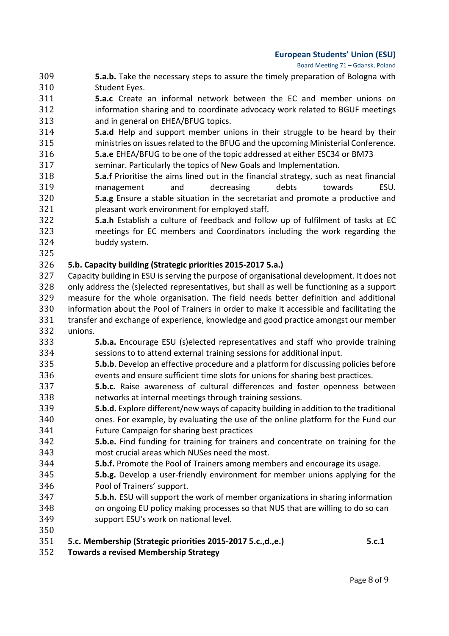Board Meeting 71 – Gdansk, Poland

- 309 **5.a.b.** Take the necessary steps to assure the timely preparation of Bologna with 310 Student Eyes.<br>311 **5.a.c** Create
- **5.a.c** Create an informal network between the EC and member unions on 312 information sharing and to coordinate advocacy work related to BGUF meetings 312 information sharing and to coordinate advocacy work related to BGUF meetings<br>313 and in general on EHEA/BFUG topics.
- 313 and in general on EHEA/BFUG topics.<br>314 **5.a.d** Help and support member un **5.a.d** Help and support member unions in their struggle to be heard by their<br>315 ministries on issues related to the BFUG and the upcoming Ministerial Conference. 315 ministries on issues related to the BFUG and the upcoming Ministerial Conference.<br>316 **5.a.e** EHEA/BFUG to be one of the topic addressed at either ESC34 or BM73
- 316 **5.a.e** EHEA/BFUG to be one of the topic addressed at either ESC34 or BM73
- 317 seminar. Particularly the topics of New Goals and Implementation.<br>318 **5.a.f** Prioritise the aims lined out in the financial strategy, such as
- 318 **5.a.f** Prioritise the aims lined out in the financial strategy, such as neat financial 319 management and decreasing debts towards ESU. 320 **5.a.g** Ensure a stable situation in the secretariat and promote a productive and
- 321 pleasant work environment for employed staff.<br>322 **5.a.h** Establish a culture of feedback and follo **5.a.h** Establish a culture of feedback and follow up of fulfilment of tasks at EC<br>323 meetings for EC members and Coordinators including the work regarding the 323 meetings for EC members and Coordinators including the work regarding the 324 buddy system.
- 325<br>326

### 326 **5.b. Capacity building (Strategic priorities 2015-2017 5.a.)**

327 Capacity building in ESU is serving the purpose of organisational development. It does not<br>328 only address the (s)elected representatives, but shall as well be functioning as a support 328 only address the (s)elected representatives, but shall as well be functioning as a support 329 measure for the whole organisation. The field needs better definition and additional 329 measure for the whole organisation. The field needs better definition and additional<br>330 information about the Pool of Trainers in order to make it accessible and facilitating the 330 information about the Pool of Trainers in order to make it accessible and facilitating the<br>331 transfer and exchange of experience, knowledge and good practice amongst our member 331 transfer and exchange of experience, knowledge and good practice amongst our member<br>332 unions.

- 332 unions.<br>333 333 **5.b.a.** Encourage ESU (s)elected representatives and staff who provide training 334 sessions to to attend external training sessions for additional input.<br>335 **5.b.b**. Develop an effective procedure and a platform for discussing port-
- 335 **5.b.b**. Develop an effective procedure and a platform for discussing policies before<br>336 events and ensure sufficient time slots for unions for sharing best practices. 336 events and ensure sufficient time slots for unions for sharing best practices.<br>337 **5.b.c.** Raise awareness of cultural differences and foster openness bet
- 337 **5.b.c.** Raise awareness of cultural differences and foster openness between<br>338 hetworks at internal meetings through training sessions. 338 networks at internal meetings through training sessions.<br>339 **5.b.d.** Explore different/new ways of capacity building in a
- 339 **5.b.d.** Explore different/new ways of capacity building in addition to the traditional 340 ones. For example, by evaluating the use of the online platform for the Fund our 341
- 341 Future Campaign for sharing best practices<br>342 **5.b.e.** Find funding for training for trainers 342 **5.b.e.** Find funding for training for trainers and concentrate on training for the
- 343 most crucial areas which NUSes need the most.<br>344 **5.b.f.** Promote the Pool of Trainers among mem
- **5.b.f.** Promote the Pool of Trainers among members and encourage its usage.<br>345 **5.b.g.** Develop a user-friendly environment for member unions applying for 345 **5.b.g.** Develop a user-friendly environment for member unions applying for the 346 Pool of Trainers' support.<br>347 **5.b.h.** ESU will support the
- 
- 347 **5.b.h.** ESU will support the work of member organizations in sharing information 348 on ongoing EU policy making processes so that NUS that are willing to do so can<br>349 support ESU's work on national level. support ESU's work on national level.
- 
- 350<br>351 351 **5.c. Membership (Strategic priorities 2015-2017 5.c.,d.,e.) 5.c.1**
- 352 **Towards a revised Membership Strategy**